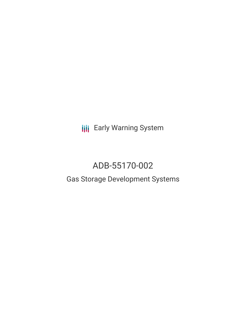**III** Early Warning System

# ADB-55170-002

# Gas Storage Development Systems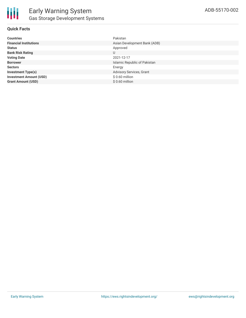

### **Quick Facts**

| <b>Countries</b>               | Pakistan                     |
|--------------------------------|------------------------------|
| <b>Financial Institutions</b>  | Asian Development Bank (ADB) |
| <b>Status</b>                  | Approved                     |
| <b>Bank Risk Rating</b>        | U                            |
| <b>Voting Date</b>             | 2021-12-17                   |
| <b>Borrower</b>                | Islamic Republic of Pakistan |
| <b>Sectors</b>                 | Energy                       |
| <b>Investment Type(s)</b>      | Advisory Services, Grant     |
| <b>Investment Amount (USD)</b> | $$0.60$ million              |
| <b>Grant Amount (USD)</b>      | $$0.60$ million              |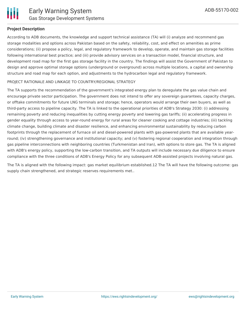

### **Project Description**

According to ADB documents, the knowledge and support technical assistance (TA) will (i) analyze and recommend gas storage modalities and options across Pakistan based on the safety, reliability, cost, and effect on amenities as prime considerations; (ii) propose a policy, legal, and regulatory framework to develop, operate, and maintain gas storage facilities following international best practice; and (iii) provide advisory services on a transaction model, financial structure, and development road map for the first gas storage facility in the country. The findings will assist the Government of Pakistan to design and approve optimal storage options (underground or overground) across multiple locations, a capital and ownership structure and road map for each option, and adjustments to the hydrocarbon legal and regulatory framework.

### PROJECT RATIONALE AND LINKAGE TO COUNTRY/REGIONAL STRATEGY

The TA supports the recommendation of the government's integrated energy plan to deregulate the gas value chain and encourage private sector participation. The government does not intend to offer any sovereign guarantees, capacity charges, or offtake commitments for future LNG terminals and storage; hence, operators would arrange their own buyers, as well as third-party access to pipeline capacity. The TA is linked to the operational priorities of ADB's Strategy 2030: (i) addressing remaining poverty and reducing inequalities by cutting energy poverty and lowering gas tariffs; (ii) accelerating progress in gender equality through access to year-round energy for rural areas for cleaner cooking and cottage industries; (iii) tackling climate change, building climate and disaster resilience, and enhancing environmental sustainability by reducing carbon footprints through the replacement of furnace oil and diesel-powered plants with gas-powered plants that are available yearround; (iv) strengthening governance and institutional capacity; and (v) fostering regional cooperation and integration through gas pipeline interconnections with neighboring countries (Turkmenistan and Iran), with options to store gas. The TA is aligned with ADB's energy policy, supporting the low-carbon transition, and TA outputs will include necessary due diligence to ensure compliance with the three conditions of ADB's Energy Policy for any subsequent ADB-assisted projects involving natural gas.

The TA is aligned with the following impact: gas market equilibrium established.12 The TA will have the following outcome: gas supply chain strengthened, and strategic reserves requirements met..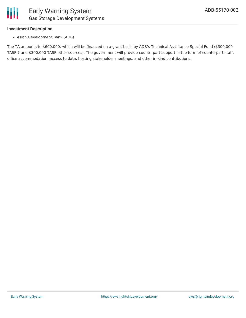

### **Investment Description**

Asian Development Bank (ADB)

The TA amounts to \$600,000, which will be financed on a grant basis by ADB's Technical Assistance Special Fund (\$300,000 TASF 7 and \$300,000 TASF-other sources). The government will provide counterpart support in the form of counterpart staff, office accommodation, access to data, hosting stakeholder meetings, and other in-kind contributions.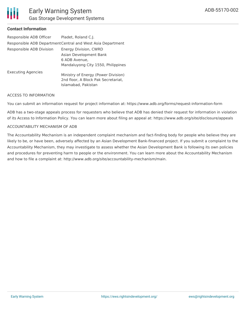

## Early Warning System Gas Storage Development Systems

### **Contact Information**

| Responsible ADB Officer   | Pladet, Roland C.J.                                                                               |
|---------------------------|---------------------------------------------------------------------------------------------------|
|                           | Responsible ADB Department Central and West Asia Department                                       |
| Responsible ADB Division  | Energy Division, CWRD                                                                             |
|                           | Asian Development Bank                                                                            |
|                           | 6 ADB Avenue,                                                                                     |
|                           | Mandaluyong City 1550, Philippines                                                                |
| <b>Executing Agencies</b> | Ministry of Energy (Power Division)<br>2nd floor, A Block Pak Secretariat,<br>Islamabad, Pakistan |

#### ACCESS TO INFORMATION

You can submit an information request for project information at: https://www.adb.org/forms/request-information-form

ADB has a two-stage appeals process for requesters who believe that ADB has denied their request for information in violation of its Access to Information Policy. You can learn more about filing an appeal at: https://www.adb.org/site/disclosure/appeals

#### ACCOUNTABILITY MECHANISM OF ADB

The Accountability Mechanism is an independent complaint mechanism and fact-finding body for people who believe they are likely to be, or have been, adversely affected by an Asian Development Bank-financed project. If you submit a complaint to the Accountability Mechanism, they may investigate to assess whether the Asian Development Bank is following its own policies and procedures for preventing harm to people or the environment. You can learn more about the Accountability Mechanism and how to file a complaint at: http://www.adb.org/site/accountability-mechanism/main.